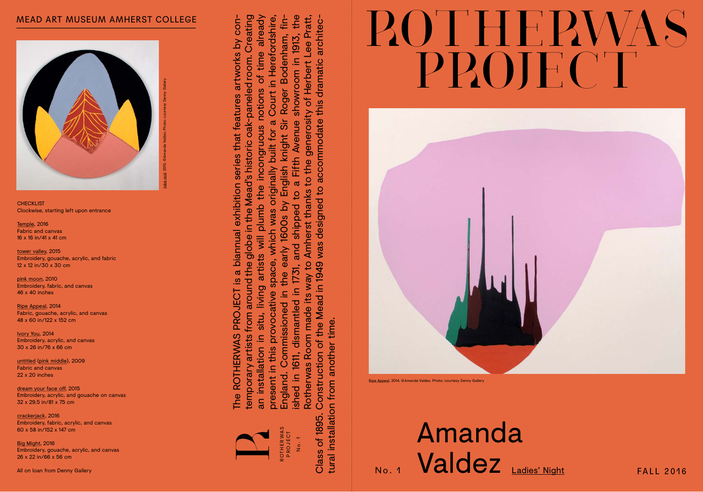



Ripe Appeal, 2014. ©Amanda Valdez. Photo: courtesy Denny Gallery

## Amanda  $\frac{26}{24}$  All on loan from Denny Gallery Scales (and Callysis, and Callysis)<br>All on loan from Denny Gallery FALL 2016

temporary artists from around the globe in the Mead's historic oak-paneled room. Creating an installation in situ, living artists will plumb the incongruous notions of time already present in this provocative space, which was originally built for a Court in Herefordshire, ished in 1611, dismantled in 1731, and shipped to a Fifth Avenue showroom in 1913, the Rotherwas Room made its way to Amherst thanks to the generosity of Herbert Lee Pratt, temporary artists from around the globe in the Mead's historic oak-paneled room. Creating - Rotherwas Room made its way to Amherst thanks to the generosity of Herbert Lee Pratt, an installation in situ, living artists will plumb the incongruous notions of time already showroom in 1913, the Court in Herefordshire The ROTHERWAS PROJECT is a biannual exhibition series that features artworks by contramporary artists from around the globe in the Mead's historic oak-paneled room. Creating an installation in situ, living artists will plu England. Commissioned in the early 1600s by English knight Sir Roger Bodenham, fin Commissioned in the early 1600s by English knight Sir  $\mathfrak{a}$ to a Fifth Avenue originally built for ished in 1611, dismantled in 1731, and shipped space, which was present in this provocative England.

ROT H E R WA S PROJECT R

z م<br>N 0 .

**CHECKLIST** Clockwise, starting left upon entrance

dream your face off, 2015 Embroidery, acrylic, and gouache on canvas 32 x 29.5 in/81 x 75 cm

Class of 1895. Construction of the Mead in 1949 was designed to accommodate this dramatic architec

crackerjack, 2016 Embroidery, fabric, acrylic, and canvas 60 x 58 in/152 x 147 cm

tural installation from another time.

ا با



## MEAD ART MUSEUM AMHERST COLLEGE

Temple, 2016 Fabric and canvas 16 x 16 in/41 x 41 cm

tower valley, 2015 Embroidery, gouache, acrylic, and fabric 12 x 12 in/30 x 30 cm

pink moon, 2010 Embroidery, fabric, and canvas 46 x 40 inches

Ripe Appeal, 2014 Fabric, gouache, acrylic, and canvas 48 x 60 in/122 x 152 cm

Ivory You, 2014 Embroidery, acrylic, and canvas 30 x 26 in/76 x 66 cm

untitled (pink middle), 2009 Fabric and canvas 22 x 20 inches

Big Might, 2016 Embroidery, gouache, acrylic, and canvas 26 x 22 in/66 x 56 cm